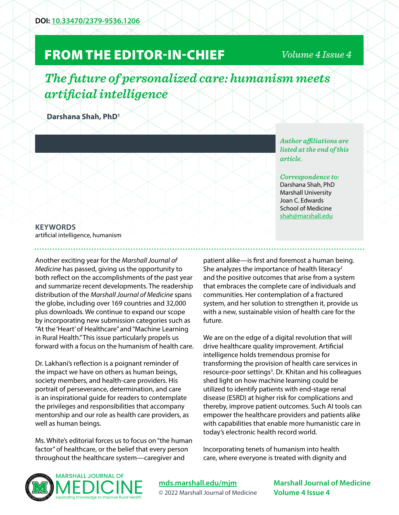## FROM THE EDITOR-IN-CHIEF

*Volume 4 Issue 4*

# *The future of personalized care: humanism meets artificial intelligence*

**Darshana Shah, PhD1**

### *Author affiliations are listed at the end of this article.*

*Correspondence to:* 

Darshana Shah, PhD Marshall University Joan C. Edwards School of Medicine [shah@marshall.edu](mailto:shah%40marshall.edu?subject=)

**KEYWORDS** artificial intelligence, humanism

Another exciting year for the *Marshall Journal of Medicine* has passed, giving us the opportunity to both reflect on the accomplishments of the past year and summarize recent developments. The readership distribution of the *Marshall Journal of Medicine* spans the globe, including over 169 countries and 32,000 plus downloads. We continue to expand our scope by incorporating new submission categories such as "At the 'Heart' of Healthcare" and "Machine Learning in Rural Health." This issue particularly propels us forward with a focus on the humanism of health care.

Dr. Lakhani's reflection is a poignant reminder of the impact we have on others as human beings, society members, and health-care providers. His portrait of perseverance, determination, and care is an inspirational guide for readers to contemplate the privileges and responsibilities that accompany mentorship and our role as health care providers, as well as human beings.

Ms. White's editorial forces us to focus on "the human factor" of healthcare, or the belief that every person throughout the healthcare system—caregiver and

patient alike—is first and foremost a human being. She analyzes the importance of health literacy<sup>2</sup> and the positive outcomes that arise from a system that embraces the complete care of individuals and communities. Her contemplation of a fractured system, and her solution to strengthen it, provide us with a new, sustainable vision of health care for the future.

We are on the edge of a digital revolution that will drive healthcare quality improvement. Artificial intelligence holds tremendous promise for transforming the provision of health care services in resource-poor settings<sup>3</sup>. Dr. Khitan and his colleagues shed light on how machine learning could be utilized to identify patients with end-stage renal disease (ESRD) at higher risk for complications and thereby, improve patient outcomes. Such AI tools can empower the healthcare providers and patients alike with capabilities that enable more humanistic care in today's electronic health record world.

Incorporating tenets of humanism into health care, where everyone is treated with dignity and



**[mds.marshall.edu/mjm](https://mds.marshall.edu/mjm/)** © 2022 Marshall Journal of Medicine

**Marshall Journal of Medicine Volume 4 Issue 4**